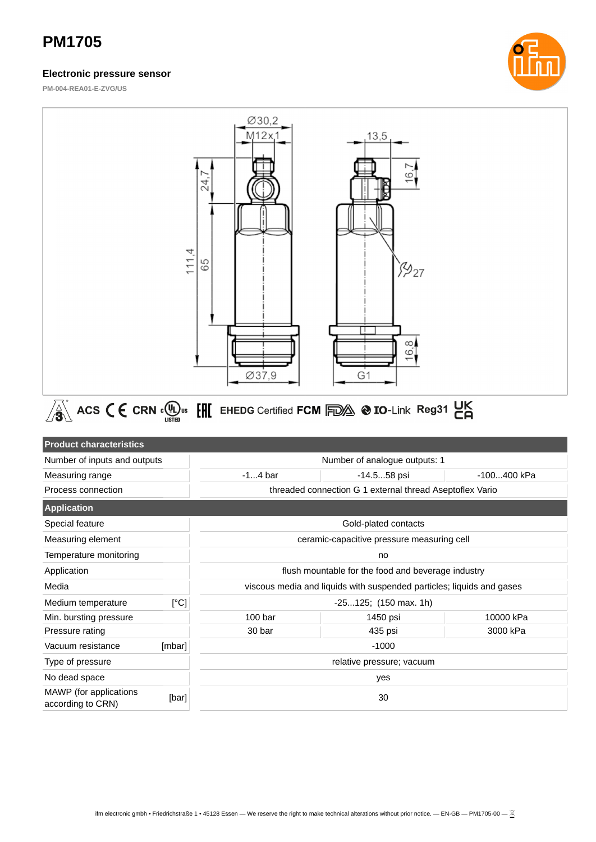### **Electronic pressure sensor**



**PM-004-REA01-E-ZVG/US**

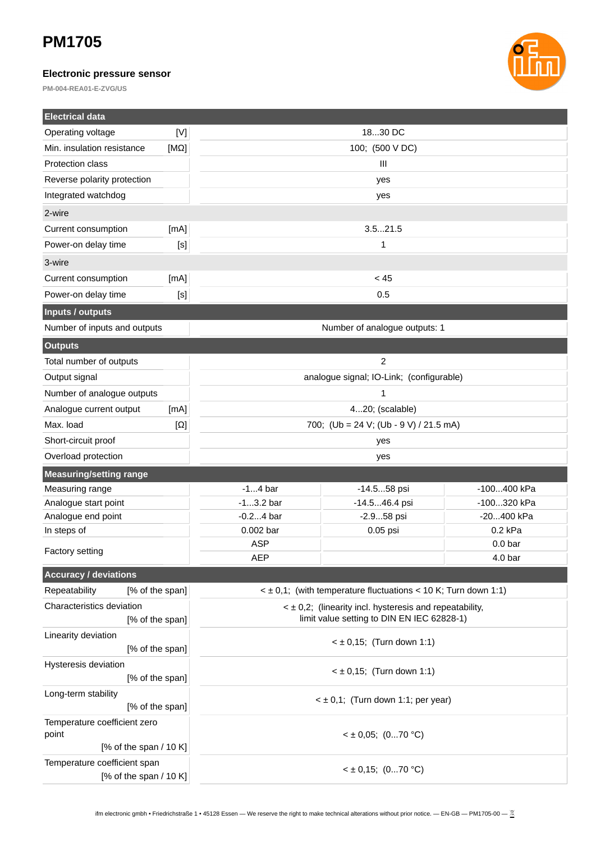### **Electronic pressure sensor**

**PM-004-REA01-E-ZVG/US**



| <b>Electrical data</b>                       |                 |                                                                                                            |               |                    |  |
|----------------------------------------------|-----------------|------------------------------------------------------------------------------------------------------------|---------------|--------------------|--|
| Operating voltage                            | [N]             |                                                                                                            | 1830 DC       |                    |  |
| Min. insulation resistance                   | $[M\Omega]$     | 100; (500 V DC)                                                                                            |               |                    |  |
| Protection class                             |                 | III                                                                                                        |               |                    |  |
| Reverse polarity protection                  |                 | yes                                                                                                        |               |                    |  |
| Integrated watchdog                          |                 | yes                                                                                                        |               |                    |  |
| 2-wire                                       |                 |                                                                                                            |               |                    |  |
| Current consumption                          | [mA]            | 3.521.5                                                                                                    |               |                    |  |
| Power-on delay time                          | [S]             | $\mathbf{1}$                                                                                               |               |                    |  |
| 3-wire                                       |                 |                                                                                                            |               |                    |  |
| Current consumption                          | [mA]            | < 45                                                                                                       |               |                    |  |
| Power-on delay time                          | [S]             | 0.5                                                                                                        |               |                    |  |
| Inputs / outputs                             |                 |                                                                                                            |               |                    |  |
| Number of inputs and outputs                 |                 | Number of analogue outputs: 1                                                                              |               |                    |  |
| <b>Outputs</b>                               |                 |                                                                                                            |               |                    |  |
| Total number of outputs                      |                 | $\overline{2}$                                                                                             |               |                    |  |
| Output signal                                |                 | analogue signal; IO-Link; (configurable)                                                                   |               |                    |  |
| Number of analogue outputs                   |                 | 1                                                                                                          |               |                    |  |
| Analogue current output                      | [mA]            | 420; (scalable)                                                                                            |               |                    |  |
| Max. load                                    | $[\Omega]$      | 700; (Ub = 24 V; (Ub - 9 V) / 21.5 mA)                                                                     |               |                    |  |
| Short-circuit proof                          |                 | yes                                                                                                        |               |                    |  |
| Overload protection                          |                 | yes                                                                                                        |               |                    |  |
| <b>Measuring/setting range</b>               |                 |                                                                                                            |               |                    |  |
| Measuring range                              |                 | $-14$ bar                                                                                                  | -14.558 psi   | -100400 kPa        |  |
| Analogue start point                         |                 | $-13.2$ bar                                                                                                | -14.546.4 psi | -100320 kPa        |  |
| Analogue end point                           |                 | $-0.24$ bar                                                                                                | -2.958 psi    | -20400 kPa         |  |
| In steps of                                  |                 | 0.002 bar                                                                                                  | 0.05 psi      | $0.2$ kPa          |  |
| <b>Factory setting</b>                       |                 | <b>ASP</b>                                                                                                 |               | 0.0 <sub>bar</sub> |  |
|                                              |                 | AEP                                                                                                        |               | 4.0 bar            |  |
| <b>Accuracy / deviations</b>                 |                 |                                                                                                            |               |                    |  |
| Repeatability                                | [% of the span] | $\leq$ ± 0,1; (with temperature fluctuations $\leq$ 10 K; Turn down 1:1)                                   |               |                    |  |
| Characteristics deviation<br>[% of the span] |                 | $\leq$ ± 0,2; (linearity incl. hysteresis and repeatability,<br>limit value setting to DIN EN IEC 62828-1) |               |                    |  |
| Linearity deviation                          |                 |                                                                                                            |               |                    |  |
| [% of the span]                              |                 | $<$ ± 0,15; (Turn down 1:1)                                                                                |               |                    |  |
| Hysteresis deviation                         |                 | $<$ ± 0,15; (Turn down 1:1)                                                                                |               |                    |  |
| [% of the span]                              |                 |                                                                                                            |               |                    |  |
| Long-term stability                          |                 | $\leq \pm 0.1$ ; (Turn down 1:1; per year)                                                                 |               |                    |  |
| [% of the span]                              |                 |                                                                                                            |               |                    |  |
| Temperature coefficient zero                 |                 | $<$ ± 0,05; (070 °C)                                                                                       |               |                    |  |
| point<br>[% of the span $/$ 10 K]            |                 |                                                                                                            |               |                    |  |
| Temperature coefficient span                 |                 |                                                                                                            |               |                    |  |
| [% of the span $/$ 10 K]                     |                 | $<$ ± 0,15; (070 °C)                                                                                       |               |                    |  |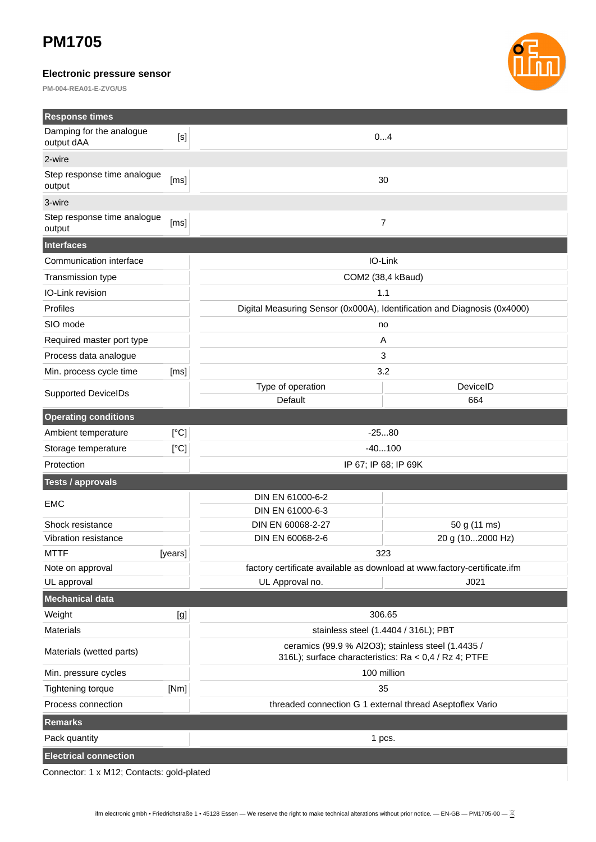### **Electronic pressure sensor**

**PM-004-REA01-E-ZVG/US**



| <b>Response times</b>                  |                                      |                                                                                                             |                  |  |  |
|----------------------------------------|--------------------------------------|-------------------------------------------------------------------------------------------------------------|------------------|--|--|
| Damping for the analogue<br>output dAA | [s]                                  | 04                                                                                                          |                  |  |  |
| 2-wire                                 |                                      |                                                                                                             |                  |  |  |
| Step response time analogue<br>output  | [ms]                                 | 30                                                                                                          |                  |  |  |
| 3-wire                                 |                                      |                                                                                                             |                  |  |  |
| Step response time analogue<br>output  | [ms]                                 | $\overline{7}$                                                                                              |                  |  |  |
| Interfaces                             |                                      |                                                                                                             |                  |  |  |
| Communication interface                |                                      | IO-Link                                                                                                     |                  |  |  |
| Transmission type                      |                                      | COM2 (38,4 kBaud)                                                                                           |                  |  |  |
| IO-Link revision                       |                                      | 1.1                                                                                                         |                  |  |  |
| Profiles                               |                                      | Digital Measuring Sensor (0x000A), Identification and Diagnosis (0x4000)                                    |                  |  |  |
| SIO mode                               |                                      | no                                                                                                          |                  |  |  |
| Required master port type              |                                      | Α                                                                                                           |                  |  |  |
| Process data analogue                  |                                      | 3                                                                                                           |                  |  |  |
| Min. process cycle time                | [ms]                                 | 3.2                                                                                                         |                  |  |  |
| <b>Supported DeviceIDs</b>             |                                      | Type of operation                                                                                           | DeviceID         |  |  |
|                                        |                                      | Default                                                                                                     | 664              |  |  |
| <b>Operating conditions</b>            |                                      |                                                                                                             |                  |  |  |
| Ambient temperature                    | [°C]                                 | $-2580$                                                                                                     |                  |  |  |
| Storage temperature                    | [°C]                                 | $-40100$                                                                                                    |                  |  |  |
| IP 67; IP 68; IP 69K<br>Protection     |                                      |                                                                                                             |                  |  |  |
| <b>Tests / approvals</b>               |                                      |                                                                                                             |                  |  |  |
| <b>EMC</b>                             |                                      | DIN EN 61000-6-2<br>DIN EN 61000-6-3                                                                        |                  |  |  |
| Shock resistance                       |                                      | DIN EN 60068-2-27                                                                                           | 50 g (11 ms)     |  |  |
| Vibration resistance                   |                                      | DIN EN 60068-2-6                                                                                            | 20 g (102000 Hz) |  |  |
| <b>MTTF</b>                            | [years]                              | 323                                                                                                         |                  |  |  |
| Note on approval                       |                                      | factory certificate available as download at www.factory-certificate.ifm                                    |                  |  |  |
| UL approval                            |                                      | UL Approval no.                                                                                             | J021             |  |  |
| Mechanical data                        |                                      |                                                                                                             |                  |  |  |
| Weight                                 | [g]                                  | 306.65                                                                                                      |                  |  |  |
| <b>Materials</b>                       | stainless steel (1.4404 / 316L); PBT |                                                                                                             |                  |  |  |
| Materials (wetted parts)               |                                      | ceramics (99.9 % Al2O3); stainless steel (1.4435 /<br>316L); surface characteristics: Ra < 0,4 / Rz 4; PTFE |                  |  |  |
| Min. pressure cycles                   |                                      | 100 million                                                                                                 |                  |  |  |
| <b>Tightening torque</b>               | [Nm]                                 | 35                                                                                                          |                  |  |  |
| Process connection                     |                                      | threaded connection G 1 external thread Aseptoflex Vario                                                    |                  |  |  |
| <b>Remarks</b>                         |                                      |                                                                                                             |                  |  |  |
| Pack quantity                          |                                      | 1 pcs.                                                                                                      |                  |  |  |
| <b>Electrical connection</b>           |                                      |                                                                                                             |                  |  |  |

Connector: 1 x M12; Contacts: gold-plated